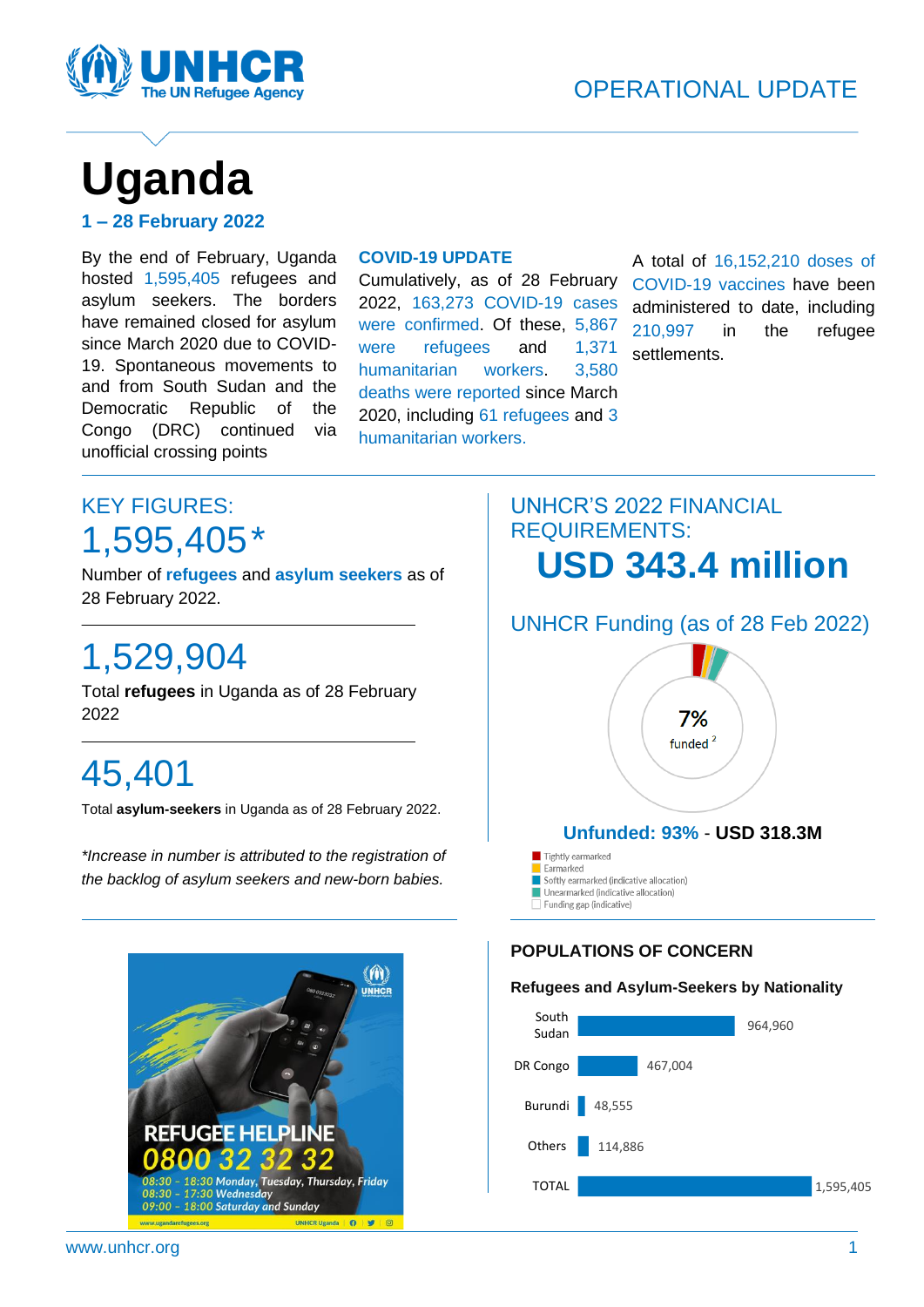

# **Uganda**

| 1 – 28 February 2022 |  |
|----------------------|--|
|----------------------|--|

By the end of February, Uganda hosted 1,595,405 refugees and asylum seekers. The borders have remained closed for asylum since March 2020 due to COVID-19. Spontaneous movements to and from South Sudan and the Democratic Republic of the Congo (DRC) continued via unofficial crossing points

#### **COVID-19 UPDATE**

Cumulatively, as of 28 February 2022, 163,273 COVID-19 cases were confirmed. Of these, 5,867 were refugees and 1,371 humanitarian workers. 3,580 deaths were reported since March 2020, including 61 refugees and 3 humanitarian workers.

A total of 16,152,210 doses of COVID-19 vaccines have been administered to date, including 210,997 in the refugee settlements.

# KEY FIGURES: 1,595,405\*

Number of **refugees** and **asylum seekers** as of 28 February 2022.

# 1,529,904

Total **refugees** in Uganda as of 28 February 2022

# 45,401

Total **asylum-seekers** in Uganda as of 28 February 2022.

*\*Increase in number is attributed to the registration of the backlog of asylum seekers and new-born babies.*



## UNHCR'S 2022 FINANCIAL REQUIREMENTS: **USD 343.4 million**



#### **POPULATIONS OF CONCERN**

#### **Refugees and Asylum-Seekers by Nationality**

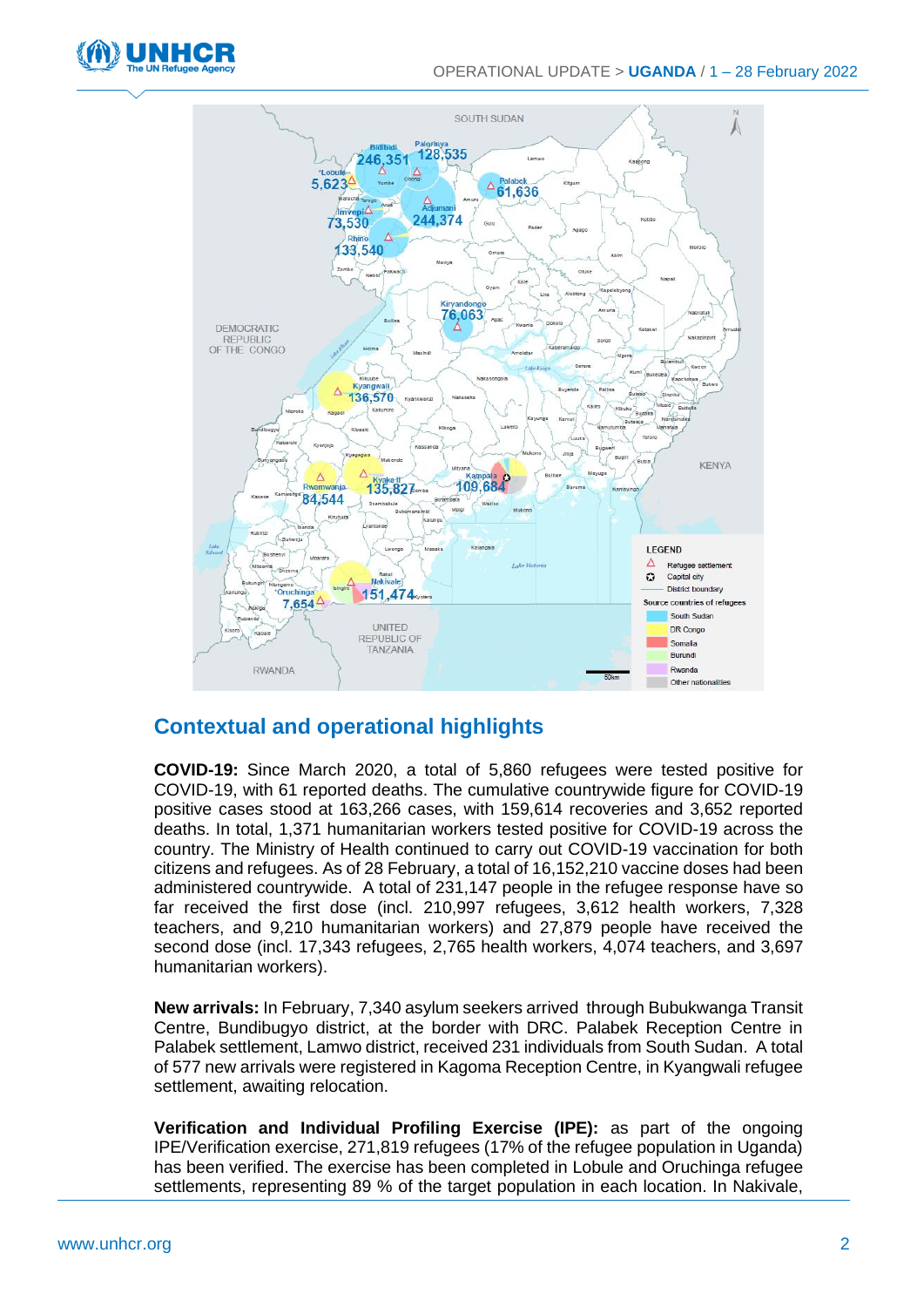



### **Contextual and operational highlights**

**COVID-19:** Since March 2020, a total of 5,860 refugees were tested positive for COVID-19, with 61 reported deaths. The cumulative countrywide figure for COVID-19 positive cases stood at 163,266 cases, with 159,614 recoveries and 3,652 reported deaths. In total, 1,371 humanitarian workers tested positive for COVID-19 across the country. The Ministry of Health continued to carry out COVID-19 vaccination for both citizens and refugees. As of 28 February, a total of 16,152,210 vaccine doses had been administered countrywide. A total of 231,147 people in the refugee response have so far received the first dose (incl. 210,997 refugees, 3,612 health workers, 7,328 teachers, and 9,210 humanitarian workers) and 27,879 people have received the second dose (incl. 17,343 refugees, 2,765 health workers, 4,074 teachers, and 3,697 humanitarian workers).

**New arrivals:** In February, 7,340 asylum seekers arrived through Bubukwanga Transit Centre, Bundibugyo district, at the border with DRC. Palabek Reception Centre in Palabek settlement, Lamwo district, received 231 individuals from South Sudan. A total of 577 new arrivals were registered in Kagoma Reception Centre, in Kyangwali refugee settlement, awaiting relocation.

**Verification and Individual Profiling Exercise (IPE):** as part of the ongoing IPE/Verification exercise, 271,819 refugees (17% of the refugee population in Uganda) has been verified. The exercise has been completed in Lobule and Oruchinga refugee settlements, representing 89 % of the target population in each location. In Nakivale,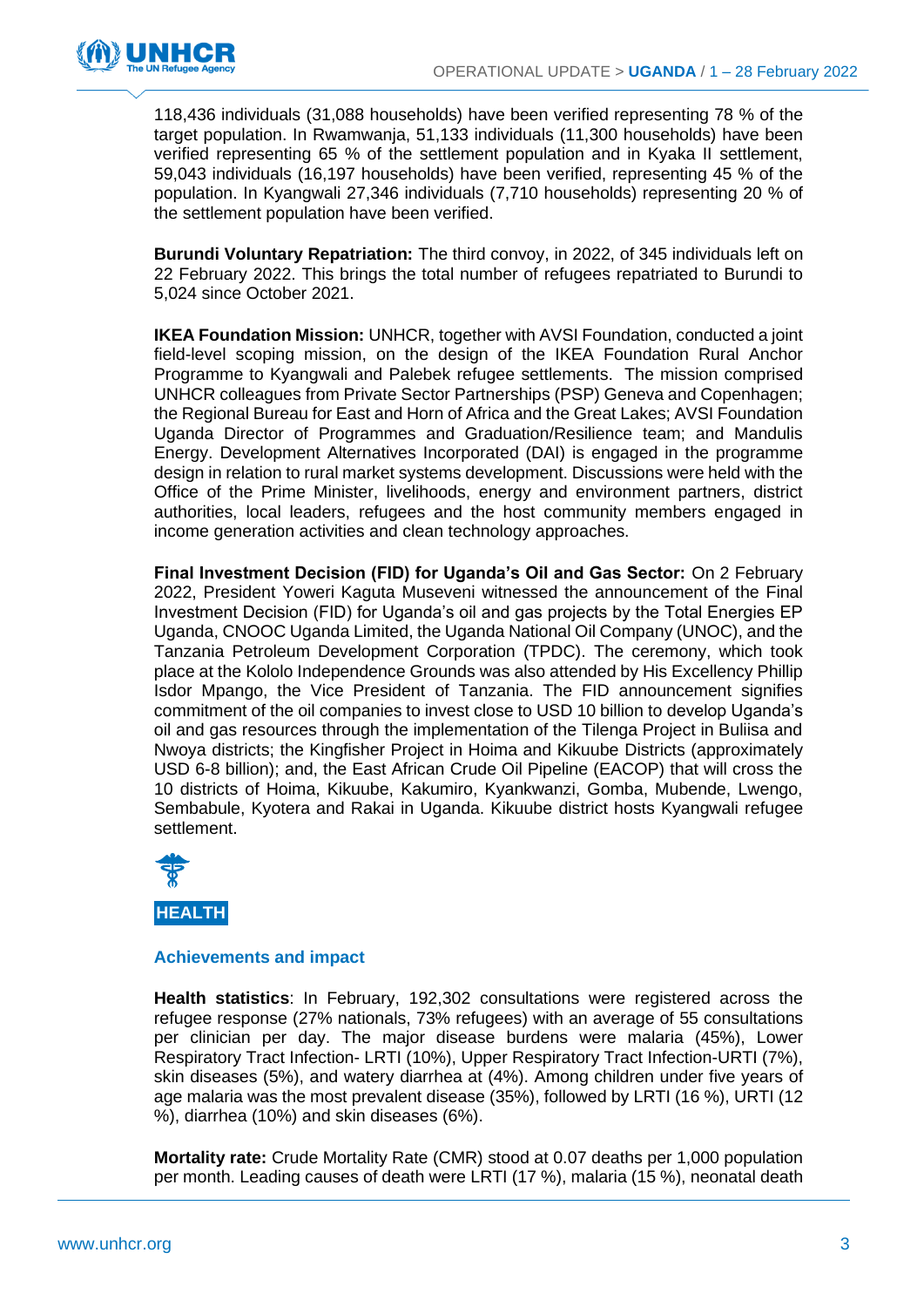

118,436 individuals (31,088 households) have been verified representing 78 % of the target population. In Rwamwanja, 51,133 individuals (11,300 households) have been verified representing 65 % of the settlement population and in Kyaka II settlement, 59,043 individuals (16,197 households) have been verified, representing 45 % of the population. In Kyangwali 27,346 individuals (7,710 households) representing 20 % of the settlement population have been verified.

**Burundi Voluntary Repatriation:** The third convoy, in 2022, of 345 individuals left on 22 February 2022. This brings the total number of refugees repatriated to Burundi to 5,024 since October 2021.

**IKEA Foundation Mission:** UNHCR, together with AVSI Foundation, conducted a joint field-level scoping mission, on the design of the IKEA Foundation Rural Anchor Programme to Kyangwali and Palebek refugee settlements. The mission comprised UNHCR colleagues from Private Sector Partnerships (PSP) Geneva and Copenhagen; the Regional Bureau for East and Horn of Africa and the Great Lakes; AVSI Foundation Uganda Director of Programmes and Graduation/Resilience team; and Mandulis Energy. Development Alternatives Incorporated (DAI) is engaged in the programme design in relation to rural market systems development. Discussions were held with the Office of the Prime Minister, livelihoods, energy and environment partners, district authorities, local leaders, refugees and the host community members engaged in income generation activities and clean technology approaches.

**Final Investment Decision (FID) for Uganda's Oil and Gas Sector:** On 2 February 2022, President Yoweri Kaguta Museveni witnessed the announcement of the Final Investment Decision (FID) for Uganda's oil and gas projects by the Total Energies EP Uganda, CNOOC Uganda Limited, the Uganda National Oil Company (UNOC), and the Tanzania Petroleum Development Corporation (TPDC). The ceremony, which took place at the Kololo Independence Grounds was also attended by His Excellency Phillip Isdor Mpango, the Vice President of Tanzania. The FID announcement signifies commitment of the oil companies to invest close to USD 10 billion to develop Uganda's oil and gas resources through the implementation of the Tilenga Project in Buliisa and Nwoya districts; the Kingfisher Project in Hoima and Kikuube Districts (approximately USD 6-8 billion); and, the East African Crude Oil Pipeline (EACOP) that will cross the 10 districts of Hoima, Kikuube, Kakumiro, Kyankwanzi, Gomba, Mubende, Lwengo, Sembabule, Kyotera and Rakai in Uganda. Kikuube district hosts Kyangwali refugee settlement.



#### **Achievements and impact**

**Health statistics**: In February, 192,302 consultations were registered across the refugee response (27% nationals, 73% refugees) with an average of 55 consultations per clinician per day. The major disease burdens were malaria (45%), Lower Respiratory Tract Infection- LRTI (10%), Upper Respiratory Tract Infection-URTI (7%), skin diseases (5%), and watery diarrhea at (4%). Among children under five years of age malaria was the most prevalent disease (35%), followed by LRTI (16 %), URTI (12 %), diarrhea (10%) and skin diseases (6%).

**Mortality rate:** Crude Mortality Rate (CMR) stood at 0.07 deaths per 1,000 population per month. Leading causes of death were LRTI (17 %), malaria (15 %), neonatal death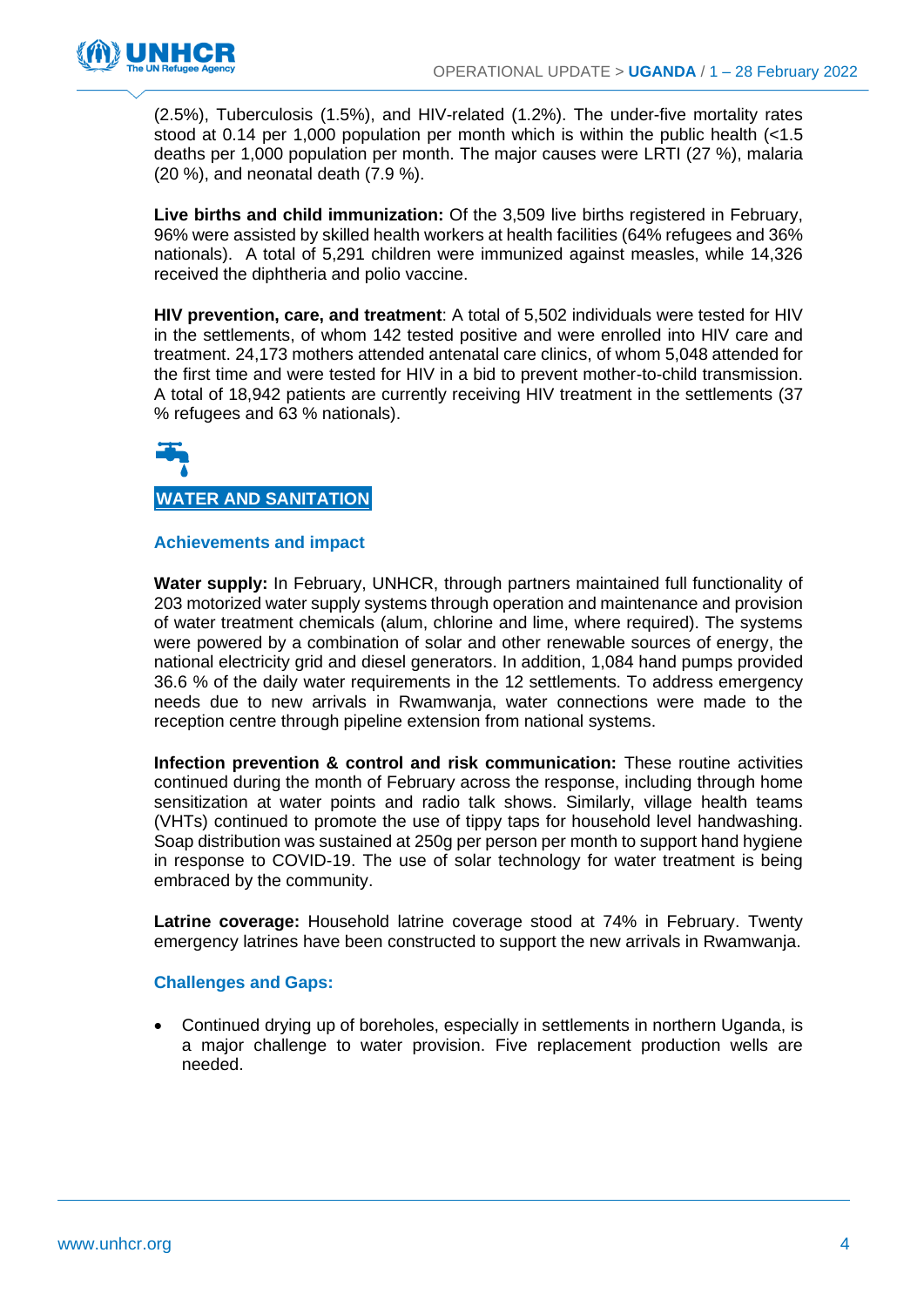

(2.5%), Tuberculosis (1.5%), and HIV-related (1.2%). The under-five mortality rates stood at 0.14 per 1,000 population per month which is within the public health (<1.5 deaths per 1,000 population per month. The major causes were LRTI (27 %), malaria (20 %), and neonatal death (7.9 %).

**Live births and child immunization:** Of the 3,509 live births registered in February, 96% were assisted by skilled health workers at health facilities (64% refugees and 36% nationals). A total of 5,291 children were immunized against measles, while 14,326 received the diphtheria and polio vaccine.

**HIV prevention, care, and treatment**: A total of 5,502 individuals were tested for HIV in the settlements, of whom 142 tested positive and were enrolled into HIV care and treatment. 24,173 mothers attended antenatal care clinics, of whom 5,048 attended for the first time and were tested for HIV in a bid to prevent mother-to-child transmission. A total of 18,942 patients are currently receiving HIV treatment in the settlements (37 % refugees and 63 % nationals).

# **WATER AND SANITATION**

#### **Achievements and impact**

**Water supply:** In February, UNHCR, through partners maintained full functionality of 203 motorized water supply systems through operation and maintenance and provision of water treatment chemicals (alum, chlorine and lime, where required). The systems were powered by a combination of solar and other renewable sources of energy, the national electricity grid and diesel generators. In addition, 1,084 hand pumps provided 36.6 % of the daily water requirements in the 12 settlements. To address emergency needs due to new arrivals in Rwamwanja, water connections were made to the reception centre through pipeline extension from national systems.

**Infection prevention & control and risk communication:** These routine activities continued during the month of February across the response, including through home sensitization at water points and radio talk shows. Similarly, village health teams (VHTs) continued to promote the use of tippy taps for household level handwashing. Soap distribution was sustained at 250g per person per month to support hand hygiene in response to COVID-19. The use of solar technology for water treatment is being embraced by the community.

**Latrine coverage:** Household latrine coverage stood at 74% in February. Twenty emergency latrines have been constructed to support the new arrivals in Rwamwanja.

#### **Challenges and Gaps:**

• Continued drying up of boreholes, especially in settlements in northern Uganda, is a major challenge to water provision. Five replacement production wells are needed.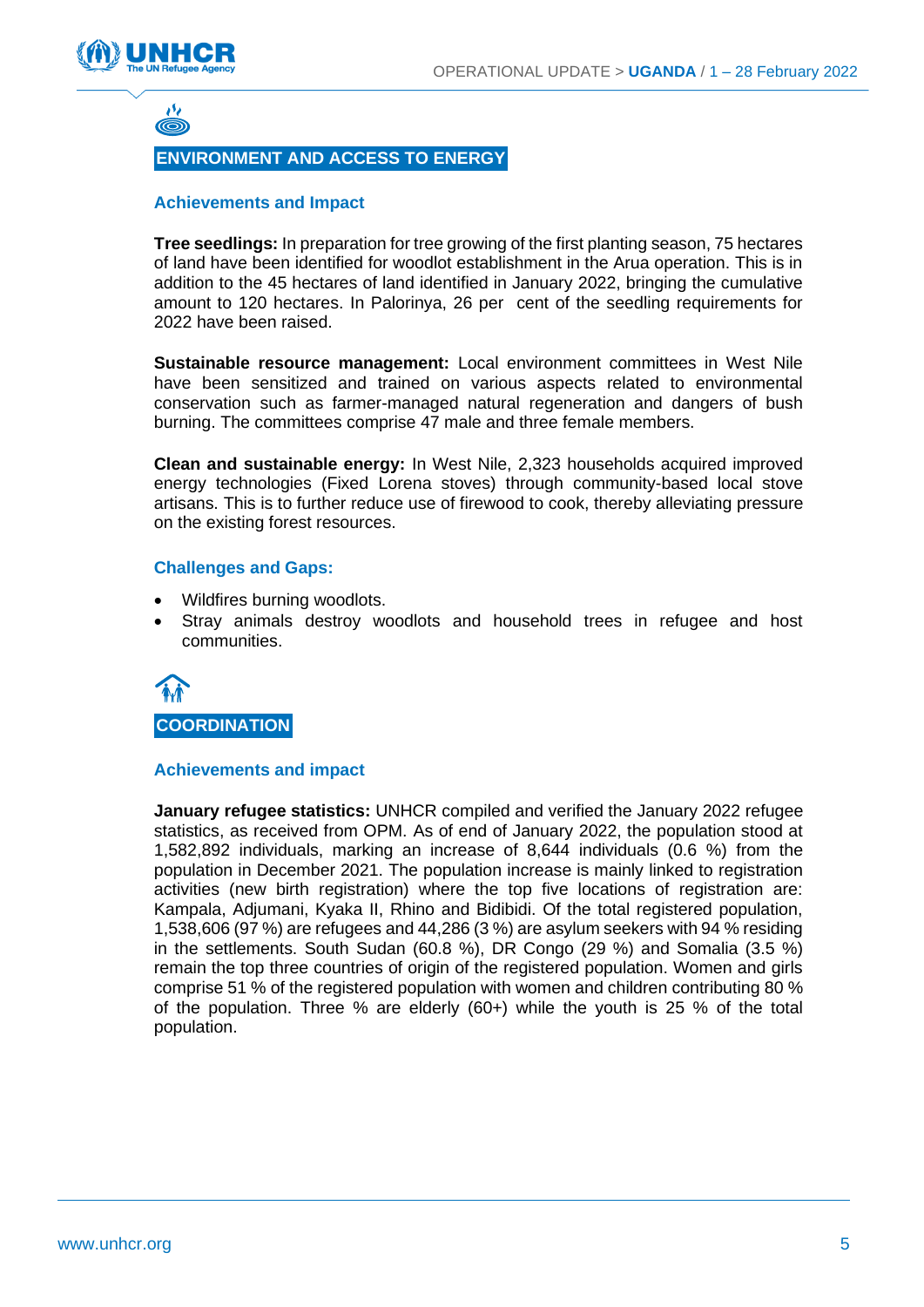



#### **ENVIRONMENT AND ACCESS TO ENERGY**

#### **Achievements and Impact**

**Tree seedlings:** In preparation for tree growing of the first planting season, 75 hectares of land have been identified for woodlot establishment in the Arua operation. This is in addition to the 45 hectares of land identified in January 2022, bringing the cumulative amount to 120 hectares. In Palorinya, 26 per cent of the seedling requirements for 2022 have been raised.

**Sustainable resource management:** Local environment committees in West Nile have been sensitized and trained on various aspects related to environmental conservation such as farmer-managed natural regeneration and dangers of bush burning. The committees comprise 47 male and three female members.

**Clean and sustainable energy:** In West Nile, 2,323 households acquired improved energy technologies (Fixed Lorena stoves) through community-based local stove artisans. This is to further reduce use of firewood to cook, thereby alleviating pressure on the existing forest resources.

#### **Challenges and Gaps:**

- Wildfires burning woodlots.
- Stray animals destroy woodlots and household trees in refugee and host communities.



#### **Achievements and impact**

**January refugee statistics:** UNHCR compiled and verified the January 2022 refugee statistics, as received from OPM. As of end of January 2022, the population stood at 1,582,892 individuals, marking an increase of 8,644 individuals (0.6 %) from the population in December 2021. The population increase is mainly linked to registration activities (new birth registration) where the top five locations of registration are: Kampala, Adjumani, Kyaka II, Rhino and Bidibidi. Of the total registered population, 1,538,606 (97 %) are refugees and 44,286 (3 %) are asylum seekers with 94 % residing in the settlements. South Sudan (60.8 %), DR Congo (29 %) and Somalia (3.5 %) remain the top three countries of origin of the registered population. Women and girls comprise 51 % of the registered population with women and children contributing 80 % of the population. Three % are elderly (60+) while the youth is 25 % of the total population.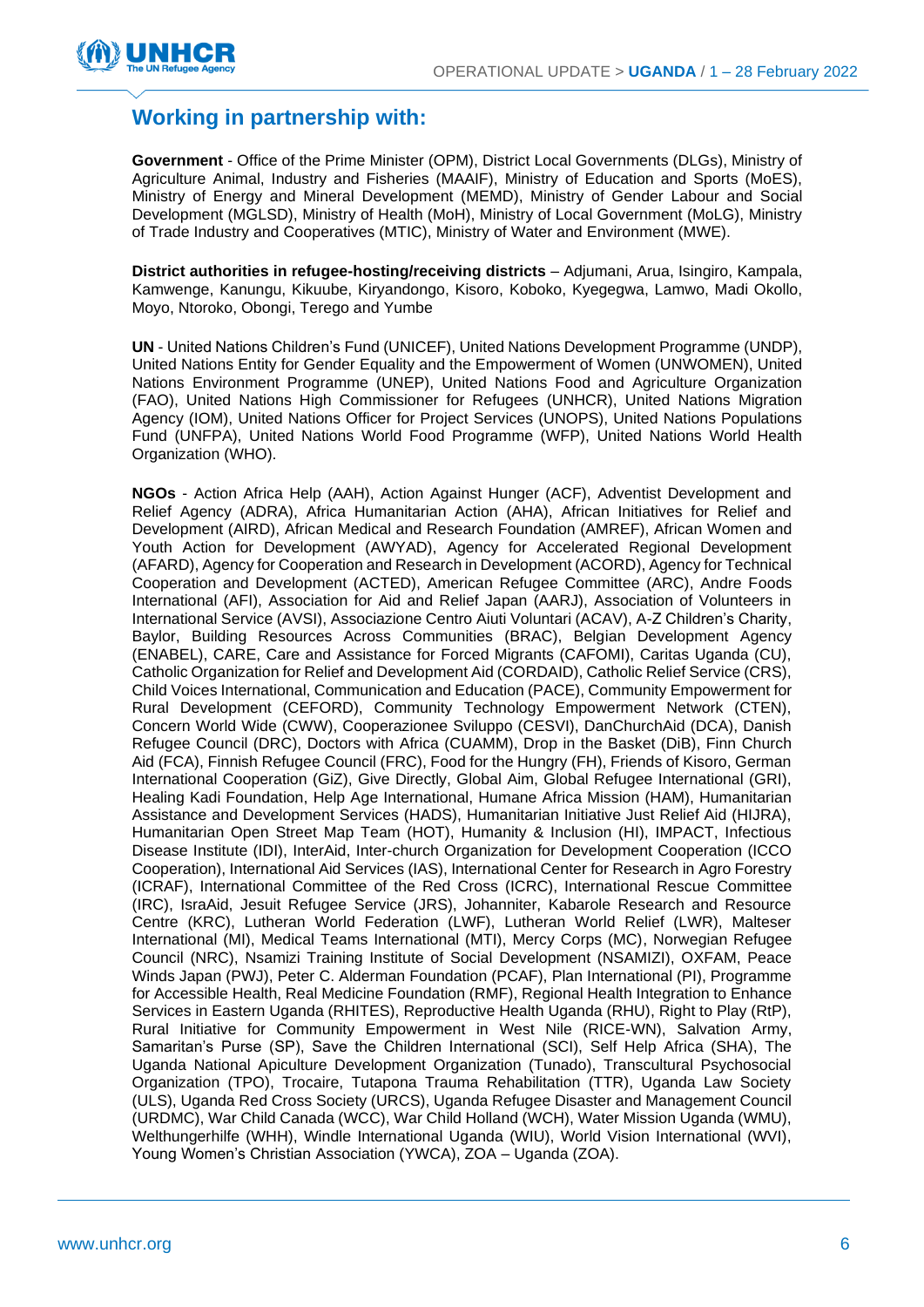

### **Working in partnership with:**

**Government** - Office of the Prime Minister (OPM), District Local Governments (DLGs), Ministry of Agriculture Animal, Industry and Fisheries (MAAIF), Ministry of Education and Sports (MoES), Ministry of Energy and Mineral Development (MEMD), Ministry of Gender Labour and Social Development (MGLSD), Ministry of Health (MoH), Ministry of Local Government (MoLG), Ministry of Trade Industry and Cooperatives (MTIC), Ministry of Water and Environment (MWE).

**District authorities in refugee-hosting/receiving districts** – Adjumani, Arua, Isingiro, Kampala, Kamwenge, Kanungu, Kikuube, Kiryandongo, Kisoro, Koboko, Kyegegwa, Lamwo, Madi Okollo, Moyo, Ntoroko, Obongi, Terego and Yumbe

**UN** - United Nations Children's Fund (UNICEF), United Nations Development Programme (UNDP), United Nations Entity for Gender Equality and the Empowerment of Women (UNWOMEN), United Nations Environment Programme (UNEP), United Nations Food and Agriculture Organization (FAO), United Nations High Commissioner for Refugees (UNHCR), United Nations Migration Agency (IOM), United Nations Officer for Project Services (UNOPS), United Nations Populations Fund (UNFPA), United Nations World Food Programme (WFP), United Nations World Health Organization (WHO).

**NGOs** - Action Africa Help (AAH), Action Against Hunger (ACF), Adventist Development and Relief Agency (ADRA), Africa Humanitarian Action (AHA), African Initiatives for Relief and Development (AIRD), African Medical and Research Foundation (AMREF), African Women and Youth Action for Development (AWYAD), Agency for Accelerated Regional Development (AFARD), Agency for Cooperation and Research in Development (ACORD), Agency for Technical Cooperation and Development (ACTED), American Refugee Committee (ARC), Andre Foods International (AFI), Association for Aid and Relief Japan (AARJ), Association of Volunteers in International Service (AVSI), Associazione Centro Aiuti Voluntari (ACAV), A-Z Children's Charity, Baylor, Building Resources Across Communities (BRAC), Belgian Development Agency (ENABEL), CARE, Care and Assistance for Forced Migrants (CAFOMI), Caritas Uganda (CU), Catholic Organization for Relief and Development Aid (CORDAID), Catholic Relief Service (CRS), Child Voices International, Communication and Education (PACE), Community Empowerment for Rural Development (CEFORD), Community Technology Empowerment Network (CTEN), Concern World Wide (CWW), Cooperazionee Sviluppo (CESVI), DanChurchAid (DCA), Danish Refugee Council (DRC), Doctors with Africa (CUAMM), Drop in the Basket (DiB), Finn Church Aid (FCA), Finnish Refugee Council (FRC), Food for the Hungry (FH), Friends of Kisoro, German International Cooperation (GiZ), Give Directly, Global Aim, Global Refugee International (GRI), Healing Kadi Foundation, Help Age International, Humane Africa Mission (HAM), Humanitarian Assistance and Development Services (HADS), Humanitarian Initiative Just Relief Aid (HIJRA), Humanitarian Open Street Map Team (HOT), Humanity & Inclusion (HI), IMPACT, Infectious Disease Institute (IDI), InterAid, Inter-church Organization for Development Cooperation (ICCO Cooperation), International Aid Services (IAS), International Center for Research in Agro Forestry (ICRAF), International Committee of the Red Cross (ICRC), International Rescue Committee (IRC), IsraAid, Jesuit Refugee Service (JRS), Johanniter, Kabarole Research and Resource Centre (KRC), Lutheran World Federation (LWF), Lutheran World Relief (LWR), Malteser International (MI), Medical Teams International (MTI), Mercy Corps (MC), Norwegian Refugee Council (NRC), Nsamizi Training Institute of Social Development (NSAMIZI), OXFAM, Peace Winds Japan (PWJ), Peter C. Alderman Foundation (PCAF), Plan International (PI), Programme for Accessible Health, Real Medicine Foundation (RMF), Regional Health Integration to Enhance Services in Eastern Uganda (RHITES), Reproductive Health Uganda (RHU), Right to Play (RtP), Rural Initiative for Community Empowerment in West Nile (RICE-WN), Salvation Army, Samaritan's Purse (SP), Save the Children International (SCI), Self Help Africa (SHA), The Uganda National Apiculture Development Organization (Tunado), Transcultural Psychosocial Organization (TPO), Trocaire, Tutapona Trauma Rehabilitation (TTR), Uganda Law Society (ULS), Uganda Red Cross Society (URCS), Uganda Refugee Disaster and Management Council (URDMC), War Child Canada (WCC), War Child Holland (WCH), Water Mission Uganda (WMU), Welthungerhilfe (WHH), Windle International Uganda (WIU), World Vision International (WVI), Young Women's Christian Association (YWCA), ZOA – Uganda (ZOA).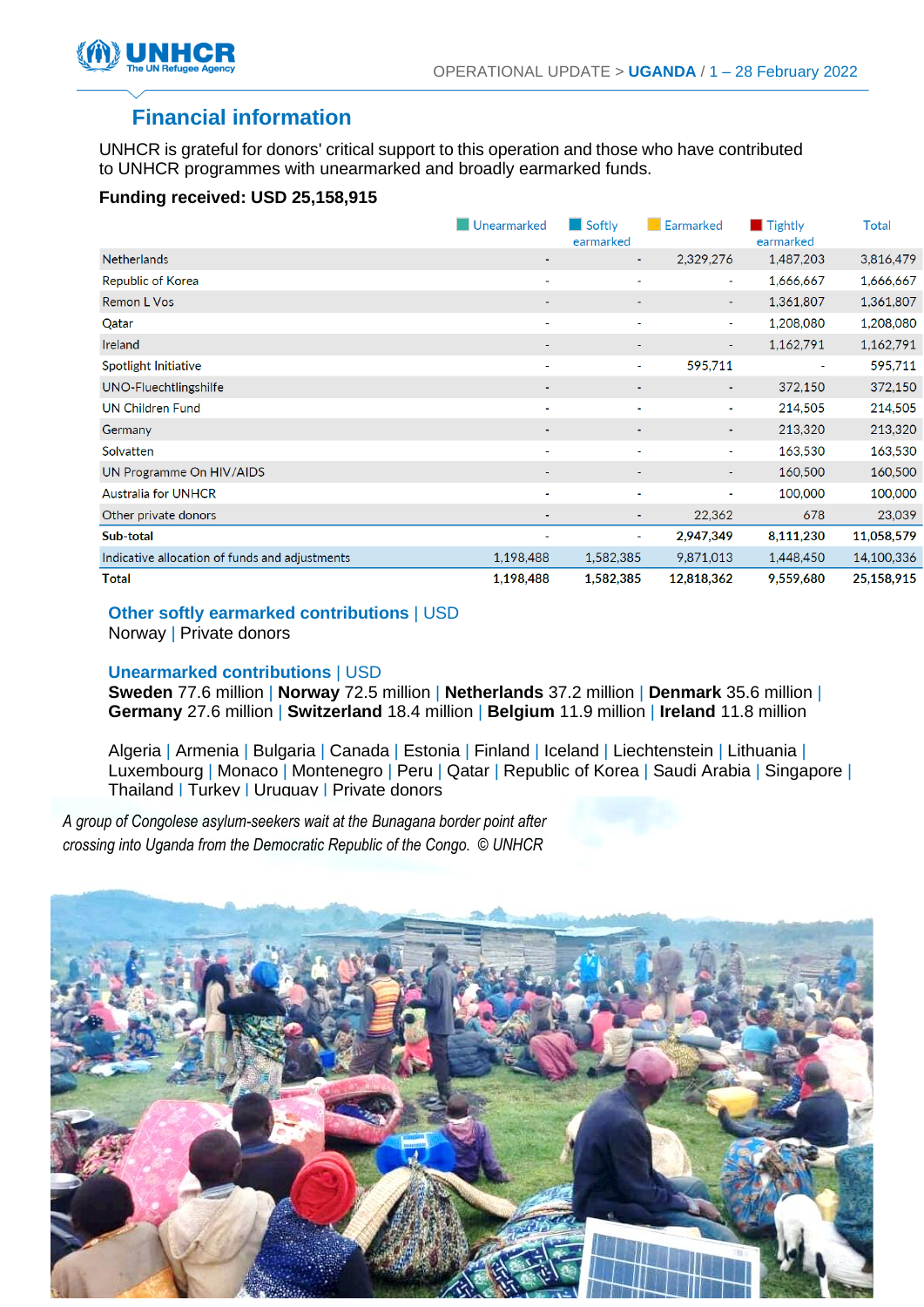

### **Financial information**

UNHCR is grateful for donors' critical support to this operation and those who have contributed to UNHCR programmes with unearmarked and broadly earmarked funds.

#### **Funding received: USD 25,158,915**

|                                                | Unearmarked    | $\Box$ Softly<br>earmarked | Earmarked  | Tightly<br>earmarked | <b>Total</b> |
|------------------------------------------------|----------------|----------------------------|------------|----------------------|--------------|
| <b>Netherlands</b>                             | ٠              | $\blacksquare$             | 2,329,276  | 1,487,203            | 3,816,479    |
| Republic of Korea                              | ٠              | $\sim$                     | ٠          | 1,666,667            | 1,666,667    |
| Remon L Vos                                    | ٠              | ٠                          | ٠          | 1,361,807            | 1,361,807    |
| Qatar                                          | ٠              | $\sim$                     | ٠          | 1,208,080            | 1,208,080    |
| Ireland                                        | ٠              | ٠                          | ٠          | 1,162,791            | 1,162,791    |
| Spotlight Initiative                           | $\sim$         | $\sim$                     | 595,711    | ٠                    | 595,711      |
| UNO-Fluechtlingshilfe                          | $\blacksquare$ | $\sim$                     | ٠          | 372,150              | 372,150      |
| <b>UN Children Fund</b>                        | $\sim$         | $\sim$                     | $\sim$     | 214,505              | 214,505      |
| Germany                                        | ۰              | ٠                          | ۰.         | 213,320              | 213,320      |
| Solvatten                                      | $\blacksquare$ | $\blacksquare$             | ٠          | 163,530              | 163,530      |
| UN Programme On HIV/AIDS                       | $\blacksquare$ | $\blacksquare$             | ۰.         | 160,500              | 160,500      |
| <b>Australia for UNHCR</b>                     | ٠              | ٠                          | ٠          | 100,000              | 100,000      |
| Other private donors                           | ٠              | $\blacksquare$             | 22,362     | 678                  | 23,039       |
| Sub-total                                      | ۰              | ٠                          | 2,947,349  | 8,111,230            | 11,058,579   |
| Indicative allocation of funds and adjustments | 1,198,488      | 1,582,385                  | 9,871,013  | 1,448,450            | 14,100,336   |
| <b>Total</b>                                   | 1,198,488      | 1,582,385                  | 12,818,362 | 9,559,680            | 25,158,915   |

**Other softly earmarked contributions** | USD

Norway | Private donors

#### **Unearmarked contributions** | USD

**Sweden** 77.6 million | **Norway** 72.5 million | **Netherlands** 37.2 million | **Denmark** 35.6 million | **Germany** 27.6 million | **Switzerland** 18.4 million | **Belgium** 11.9 million | **Ireland** 11.8 million

Algeria | Armenia | Bulgaria | Canada | Estonia | Finland | Iceland | Liechtenstein | Lithuania | Luxembourg | Monaco | Montenegro | Peru | Qatar | Republic of Korea | Saudi Arabia | Singapore | Thailand | Turkey | Uruguay | Private donors

*A group of Congolese asylum-seekers wait at the Bunagana border point after crossing into Uganda from the Democratic Republic of the Congo. © UNHCR*